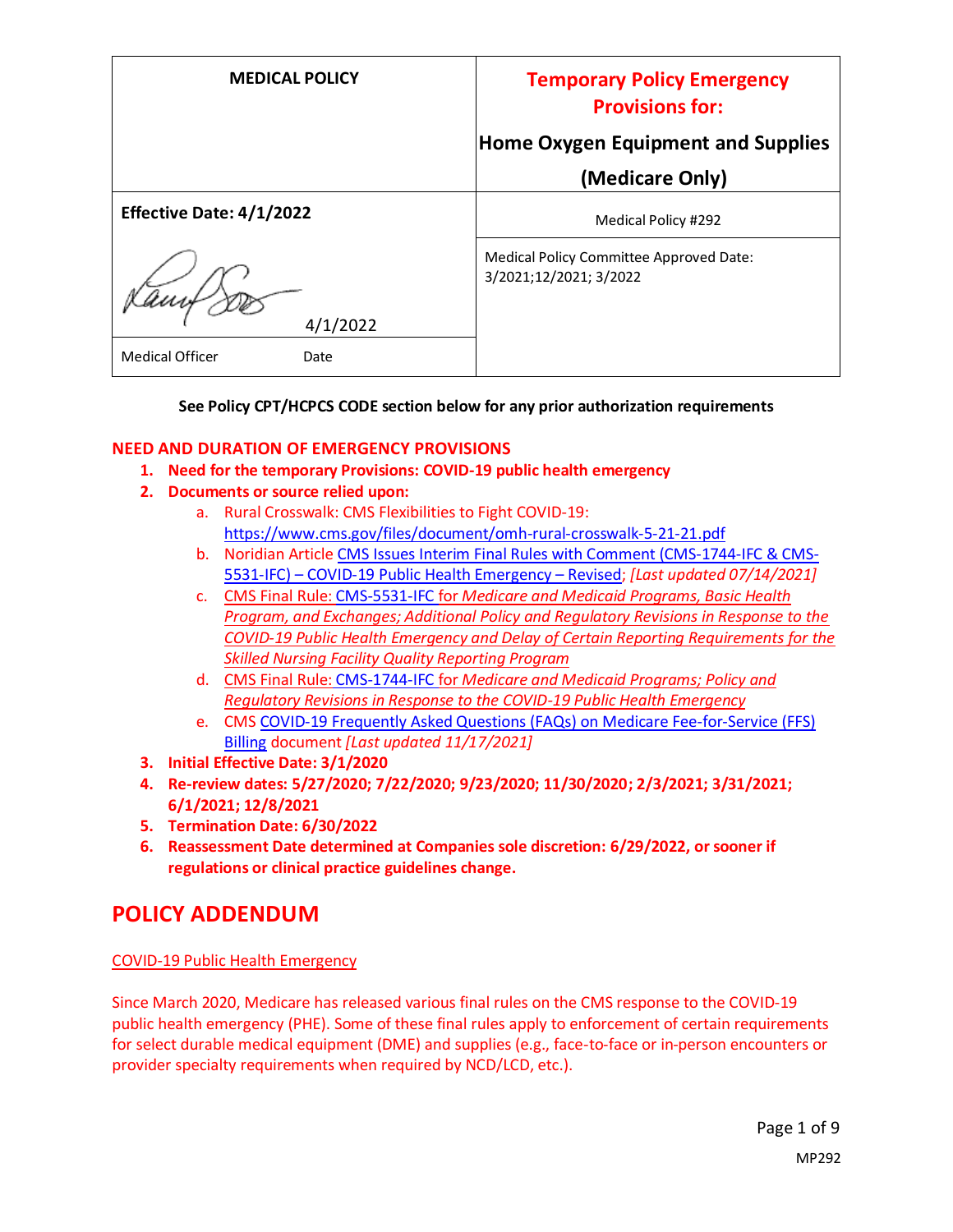| <b>MEDICAL POLICY</b>           | <b>Temporary Policy Emergency</b><br><b>Provisions for:</b>       |
|---------------------------------|-------------------------------------------------------------------|
|                                 | <b>Home Oxygen Equipment and Supplies</b>                         |
|                                 | (Medicare Only)                                                   |
| <b>Effective Date: 4/1/2022</b> | Medical Policy #292                                               |
| 4/1/2022                        | Medical Policy Committee Approved Date:<br>3/2021;12/2021; 3/2022 |
| <b>Medical Officer</b><br>Date  |                                                                   |

### **See Policy CPT/HCPCS CODE section below for any prior authorization requirements**

### **NEED AND DURATION OF EMERGENCY PROVISIONS**

- **1. Need for the temporary Provisions: COVID-19 public health emergency**
- **2. Documents or source relied upon:** 
	- a. Rural Crosswalk: CMS Flexibilities to Fight COVID-19: <https://www.cms.gov/files/document/omh-rural-crosswalk-5-21-21.pdf>
	- b. Noridian Article [CMS Issues Interim Final Rules with Comment \(CMS-1744-IFC & CMS-](https://med.noridianmedicare.com/web/jadme/policies/dmd-articles/2020/cms-issues-interim-final-rules-with-comment-cms-1744-ifc-cms-5531-ifc-covid-19-public-health-emergency-revised3)5531-IFC) – [COVID-19 Public Health Emergency](https://med.noridianmedicare.com/web/jadme/policies/dmd-articles/2020/cms-issues-interim-final-rules-with-comment-cms-1744-ifc-cms-5531-ifc-covid-19-public-health-emergency-revised3) – Revised; *[Last updated 07/14/2021]*
	- c. [CMS Final Rule: CMS-5531-IFC](https://www.cms.gov/files/document/covid-medicare-and-medicaid-ifc2.pdf) for *Medicare and Medicaid Programs, Basic Health Program, and Exchanges; Additional Policy and Regulatory Revisions in Response to the COVID-19 Public Health Emergency and Delay of Certain Reporting Requirements for the Skilled Nursing Facility Quality Reporting Program*
	- d. CMS Final Rule: [CMS-1744-IFC](https://www.cms.gov/files/document/covid-final-ifc.pdf) for *Medicare and Medicaid Programs; Policy and Regulatory Revisions in Response to the COVID-19 Public Health Emergency*
	- e. CMS [COVID-19 Frequently Asked Questions \(FAQs\) on Medicare Fee-for-Service \(FFS\)](https://www.cms.gov/files/document/03092020-covid-19-faqs-508.pdf)  [Billing](https://www.cms.gov/files/document/03092020-covid-19-faqs-508.pdf) document *[Last updated 11/17/2021]*
- **3. Initial Effective Date: 3/1/2020**
- **4. Re-review dates: 5/27/2020; 7/22/2020; 9/23/2020; 11/30/2020; 2/3/2021; 3/31/2021; 6/1/2021; 12/8/2021**
- **5. Termination Date: 6/30/2022**
- **6. Reassessment Date determined at Companies sole discretion: 6/29/2022, or sooner if regulations or clinical practice guidelines change.**

## **POLICY ADDENDUM**

### COVID-19 Public Health Emergency

Since March 2020, Medicare has released various final rules on the CMS response to the COVID-19 public health emergency (PHE). Some of these final rules apply to enforcement of certain requirements for select durable medical equipment (DME) and supplies (e.g., face-to-face or in-person encounters or provider specialty requirements when required by NCD/LCD, etc.).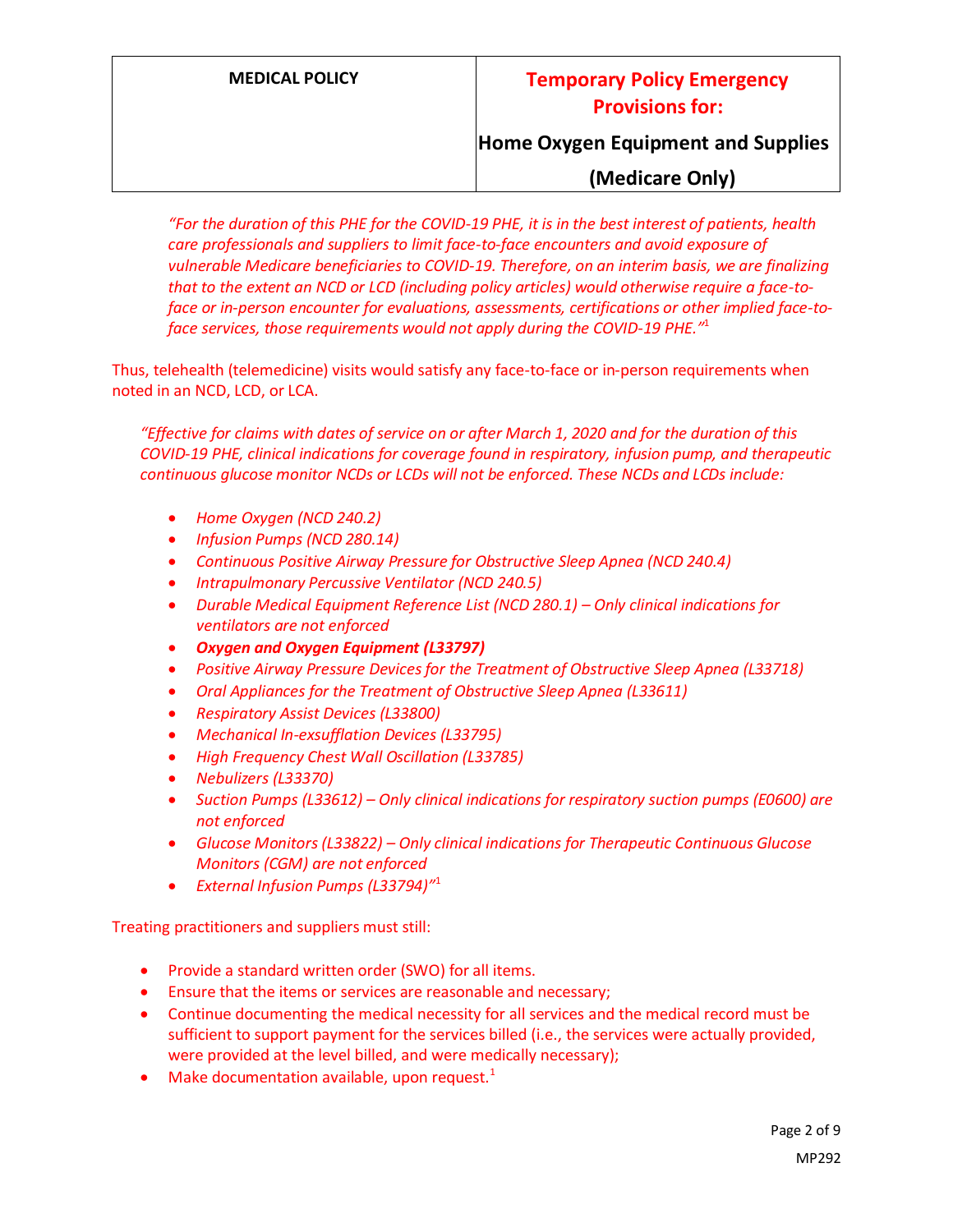## **Home Oxygen Equipment and Supplies**

## **(Medicare Only)**

*"For the duration of this PHE for the COVID-19 PHE, it is in the best interest of patients, health care professionals and suppliers to limit face-to-face encounters and avoid exposure of vulnerable Medicare beneficiaries to COVID-19. Therefore, on an interim basis, we are finalizing that to the extent an NCD or LCD (including policy articles) would otherwise require a face-toface or in-person encounter for evaluations, assessments, certifications or other implied face-toface services, those requirements would not apply during the COVID-19 PHE."* 1

Thus, telehealth (telemedicine) visits would satisfy any face-to-face or in-person requirements when noted in an NCD, LCD, or LCA.

*"Effective for claims with dates of service on or after March 1, 2020 and for the duration of this COVID-19 PHE, clinical indications for coverage found in respiratory, infusion pump, and therapeutic continuous glucose monitor NCDs or LCDs will not be enforced. These NCDs and LCDs include:*

- *Home Oxygen (NCD 240.2)*
- *Infusion Pumps (NCD 280.14)*
- *Continuous Positive Airway Pressure for Obstructive Sleep Apnea (NCD 240.4)*
- *Intrapulmonary Percussive Ventilator (NCD 240.5)*
- *Durable Medical Equipment Reference List (NCD 280.1) Only clinical indications for ventilators are not enforced*
- *Oxygen and Oxygen Equipment (L33797)*
- *Positive Airway Pressure Devices for the Treatment of Obstructive Sleep Apnea (L33718)*
- *Oral Appliances for the Treatment of Obstructive Sleep Apnea (L33611)*
- *Respiratory Assist Devices (L33800)*
- *Mechanical In-exsufflation Devices (L33795)*
- *High Frequency Chest Wall Oscillation (L33785)*
- *Nebulizers (L33370)*
- *Suction Pumps (L33612) – Only clinical indications for respiratory suction pumps (E0600) are not enforced*
- *Glucose Monitors (L33822) – Only clinical indications for Therapeutic Continuous Glucose Monitors (CGM) are not enforced*
- *External Infusion Pumps (L33794)"* 1

Treating practitioners and suppliers must still:

- Provide a standard written order (SWO) for all items.
- Ensure that the items or services are reasonable and necessary;
- Continue documenting the medical necessity for all services and the medical record must be sufficient to support payment for the services billed (i.e., the services were actually provided, were provided at the level billed, and were medically necessary);
- Make documentation available, upon request. $1$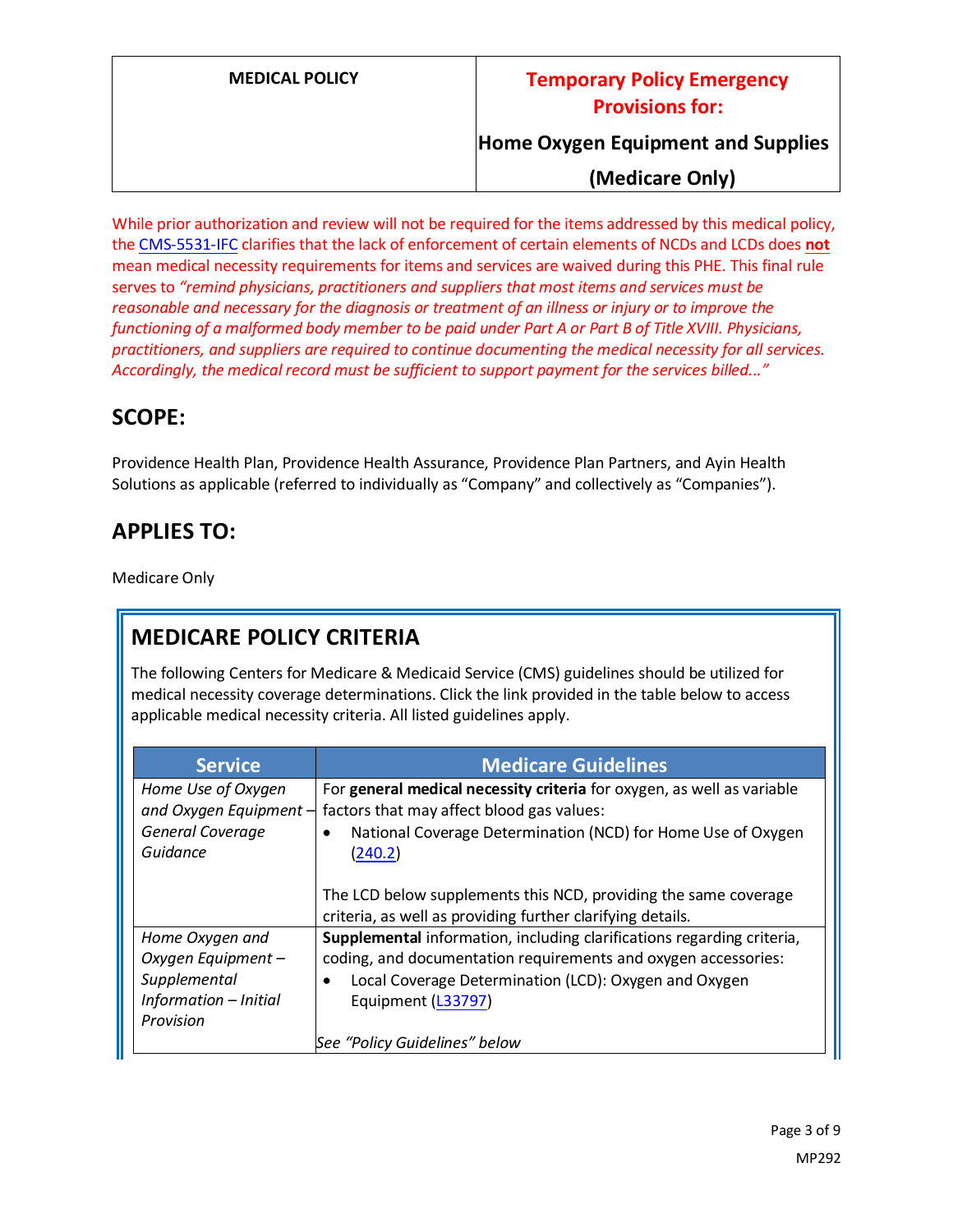**Home Oxygen Equipment and Supplies**

**(Medicare Only)**

While prior authorization and review will not be required for the items addressed by this medical policy, the [CMS-5531-IFC](https://www.cms.gov/files/document/covid-medicare-and-medicaid-ifc2.pdf) clarifies that the lack of enforcement of certain elements of NCDs and LCDs does **not** mean medical necessity requirements for items and services are waived during this PHE. This final rule serves to *"remind physicians, practitioners and suppliers that most items and services must be reasonable and necessary for the diagnosis or treatment of an illness or injury or to improve the functioning of a malformed body member to be paid under Part A or Part B of Title XVIII. Physicians, practitioners, and suppliers are required to continue documenting the medical necessity for all services. Accordingly, the medical record must be sufficient to support payment for the services billed..."*

# **SCOPE:**

Providence Health Plan, Providence Health Assurance, Providence Plan Partners, and Ayin Health Solutions as applicable (referred to individually as "Company" and collectively as "Companies").

# **APPLIES TO:**

Medicare Only

# **MEDICARE POLICY CRITERIA**

The following Centers for Medicare & Medicaid Service (CMS) guidelines should be utilized for medical necessity coverage determinations. Click the link provided in the table below to access applicable medical necessity criteria. All listed guidelines apply.

| <b>Service</b>                                 | <b>Medicare Guidelines</b>                                                                                          |
|------------------------------------------------|---------------------------------------------------------------------------------------------------------------------|
| Home Use of Oxygen<br>and Oxygen Equipment $-$ | For general medical necessity criteria for oxygen, as well as variable<br>factors that may affect blood gas values: |
| General Coverage<br>Guidance                   | National Coverage Determination (NCD) for Home Use of Oxygen<br>(240.2)                                             |
|                                                | The LCD below supplements this NCD, providing the same coverage                                                     |
|                                                | criteria, as well as providing further clarifying details.                                                          |
| Home Oxygen and                                | Supplemental information, including clarifications regarding criteria,                                              |
| Oxygen Equipment -                             | coding, and documentation requirements and oxygen accessories:                                                      |
| Supplemental                                   | Local Coverage Determination (LCD): Oxygen and Oxygen                                                               |
| Information - Initial                          | Equipment (L33797)                                                                                                  |
| Provision                                      |                                                                                                                     |
|                                                | See "Policy Guidelines" below                                                                                       |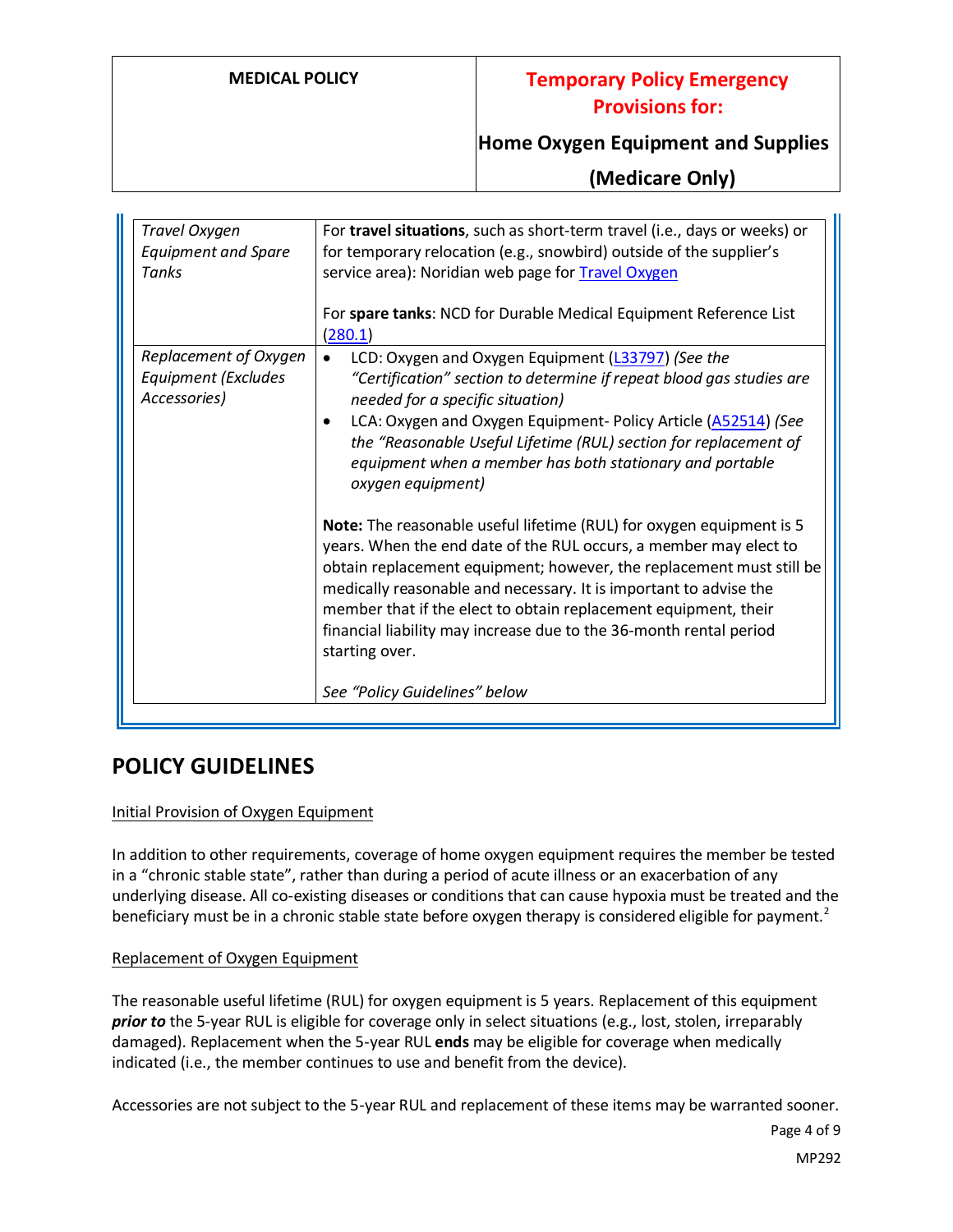## **Home Oxygen Equipment and Supplies**

**(Medicare Only)**

| Travel Oxygen                              | For travel situations, such as short-term travel (i.e., days or weeks) or                                |
|--------------------------------------------|----------------------------------------------------------------------------------------------------------|
| <b>Equipment and Spare</b>                 | for temporary relocation (e.g., snowbird) outside of the supplier's                                      |
| Tanks                                      | service area): Noridian web page for Travel Oxygen                                                       |
|                                            |                                                                                                          |
|                                            | For spare tanks: NCD for Durable Medical Equipment Reference List                                        |
|                                            | (280.1)                                                                                                  |
| Replacement of Oxygen                      | LCD: Oxygen and Oxygen Equipment (L33797) (See the                                                       |
| <b>Equipment (Excludes</b><br>Accessories) | "Certification" section to determine if repeat blood gas studies are<br>needed for a specific situation) |
|                                            | LCA: Oxygen and Oxygen Equipment- Policy Article (A52514) (See                                           |
|                                            | the "Reasonable Useful Lifetime (RUL) section for replacement of                                         |
|                                            | equipment when a member has both stationary and portable<br>oxygen equipment)                            |
|                                            | Note: The reasonable useful lifetime (RUL) for oxygen equipment is 5                                     |
|                                            | years. When the end date of the RUL occurs, a member may elect to                                        |
|                                            | obtain replacement equipment; however, the replacement must still be                                     |
|                                            | medically reasonable and necessary. It is important to advise the                                        |
|                                            | member that if the elect to obtain replacement equipment, their                                          |
|                                            | financial liability may increase due to the 36-month rental period                                       |
|                                            | starting over.                                                                                           |
|                                            | See "Policy Guidelines" below                                                                            |
|                                            |                                                                                                          |

## **POLICY GUIDELINES**

### Initial Provision of Oxygen Equipment

In addition to other requirements, coverage of home oxygen equipment requires the member be tested in a "chronic stable state", rather than during a period of acute illness or an exacerbation of any underlying disease. All co-existing diseases or conditions that can cause hypoxia must be treated and the beneficiary must be in a chronic stable state before oxygen therapy is considered eligible for payment.<sup>2</sup>

#### Replacement of Oxygen Equipment

The reasonable useful lifetime (RUL) for oxygen equipment is 5 years. Replacement of this equipment *prior to* the 5-year RUL is eligible for coverage only in select situations (e.g., lost, stolen, irreparably damaged). Replacement when the 5-year RUL **ends** may be eligible for coverage when medically indicated (i.e., the member continues to use and benefit from the device).

Accessories are not subject to the 5-year RUL and replacement of these items may be warranted sooner.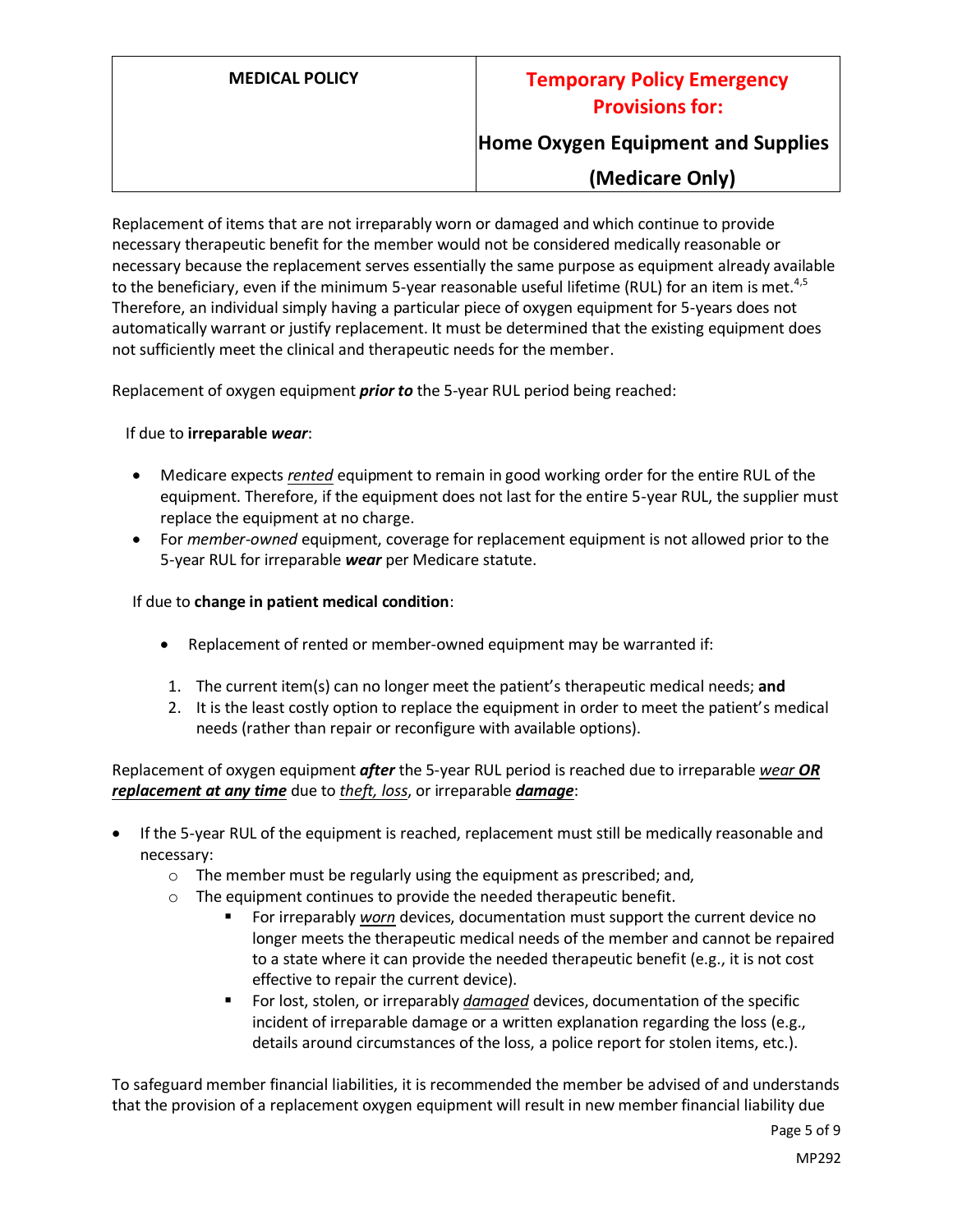**Home Oxygen Equipment and Supplies**

## **(Medicare Only)**

Replacement of items that are not irreparably worn or damaged and which continue to provide necessary therapeutic benefit for the member would not be considered medically reasonable or necessary because the replacement serves essentially the same purpose as equipment already available to the beneficiary, even if the minimum 5-year reasonable useful lifetime (RUL) for an item is met.<sup>4,5</sup> Therefore, an individual simply having a particular piece of oxygen equipment for 5-years does not automatically warrant or justify replacement. It must be determined that the existing equipment does not sufficiently meet the clinical and therapeutic needs for the member.

Replacement of oxygen equipment *prior to* the 5-year RUL period being reached:

#### If due to **irreparable** *wear*:

- Medicare expects *rented* equipment to remain in good working order for the entire RUL of the equipment. Therefore, if the equipment does not last for the entire 5-year RUL, the supplier must replace the equipment at no charge.
- For *member-owned* equipment, coverage for replacement equipment is not allowed prior to the 5-year RUL for irreparable *wear* per Medicare statute.

#### If due to **change in patient medical condition**:

- Replacement of rented or member-owned equipment may be warranted if:
- 1. The current item(s) can no longer meet the patient's therapeutic medical needs; **and**
- 2. It is the least costly option to replace the equipment in order to meet the patient's medical needs (rather than repair or reconfigure with available options).

Replacement of oxygen equipment *after* the 5-year RUL period is reached due to irreparable *wear OR replacement at any time* due to *theft, loss*, or irreparable *damage*:

- If the 5-year RUL of the equipment is reached, replacement must still be medically reasonable and necessary:
	- o The member must be regularly using the equipment as prescribed; and,
	- o The equipment continues to provide the needed therapeutic benefit.
		- For irreparably *worn* devices, documentation must support the current device no longer meets the therapeutic medical needs of the member and cannot be repaired to a state where it can provide the needed therapeutic benefit (e.g., it is not cost effective to repair the current device).
		- For lost, stolen, or irreparably *damaged* devices, documentation of the specific incident of irreparable damage or a written explanation regarding the loss (e.g., details around circumstances of the loss, a police report for stolen items, etc.).

To safeguard member financial liabilities, it is recommended the member be advised of and understands that the provision of a replacement oxygen equipment will result in new member financial liability due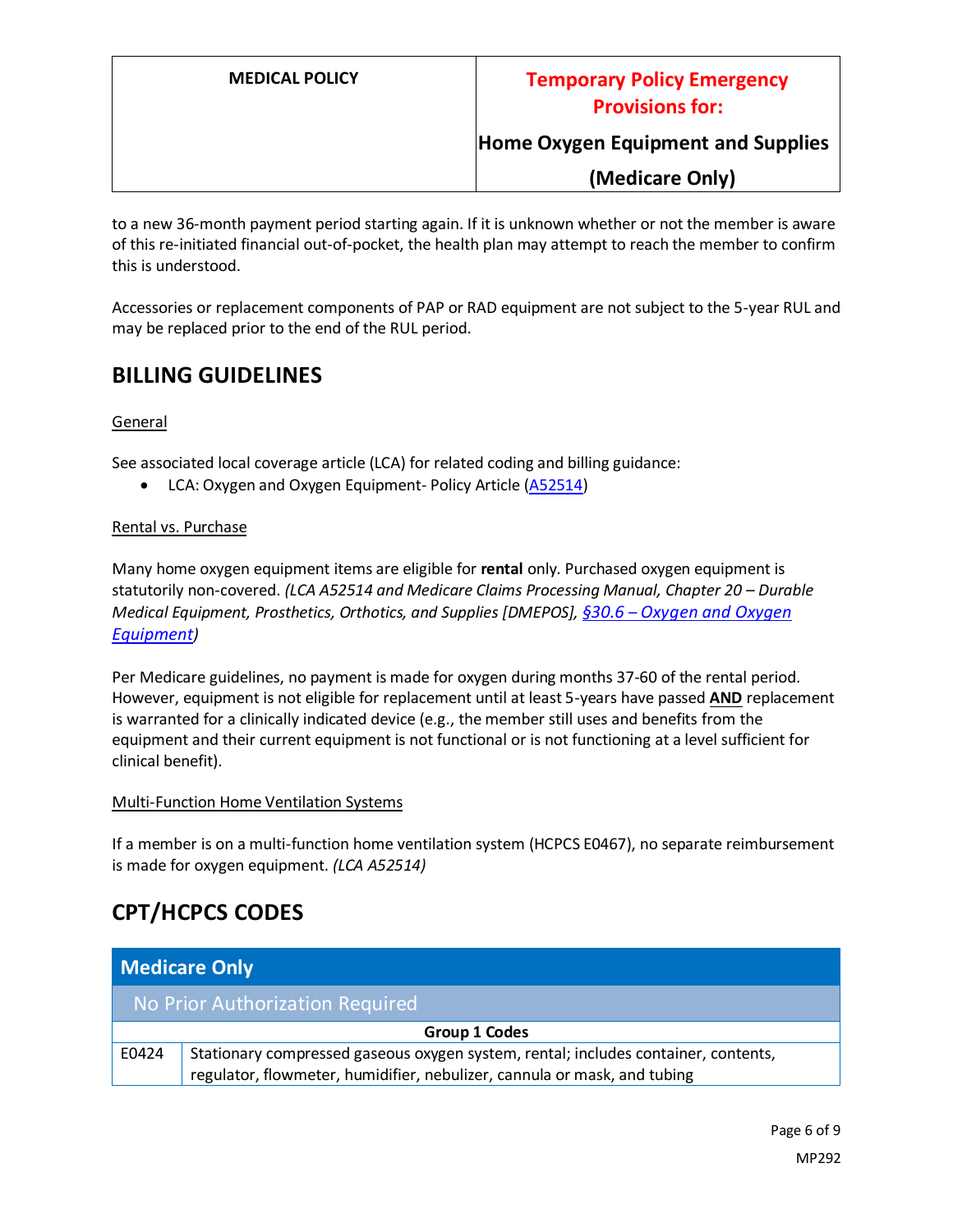## **Home Oxygen Equipment and Supplies**

**(Medicare Only)**

to a new 36-month payment period starting again. If it is unknown whether or not the member is aware of this re-initiated financial out-of-pocket, the health plan may attempt to reach the member to confirm this is understood.

Accessories or replacement components of PAP or RAD equipment are not subject to the 5-year RUL and may be replaced prior to the end of the RUL period.

## **BILLING GUIDELINES**

#### General

See associated local coverage article (LCA) for related coding and billing guidance:

• LCA: Oxygen and Oxygen Equipment- Policy Article [\(A52514\)](https://www.cms.gov/medicare-coverage-database/details/article-details.aspx?articleId=52514)

#### Rental vs. Purchase

Many home oxygen equipment items are eligible for **rental** only. Purchased oxygen equipment is statutorily non-covered. *(LCA A52514 and Medicare Claims Processing Manual, Chapter 20 - Durable Medical Equipment, Prosthetics, Orthotics, and Supplies [DMEPOS], §30.6 – [Oxygen and Oxygen](https://www.cms.gov/Regulations-and-Guidance/Guidance/Manuals/Downloads/clm104c20.pdf)  [Equipment](https://www.cms.gov/Regulations-and-Guidance/Guidance/Manuals/Downloads/clm104c20.pdf))*

Per Medicare guidelines, no payment is made for oxygen during months 37-60 of the rental period. However, equipment is not eligible for replacement until at least 5-years have passed **AND** replacement is warranted for a clinically indicated device (e.g., the member still uses and benefits from the equipment and their current equipment is not functional or is not functioning at a level sufficient for clinical benefit).

#### Multi-Function Home Ventilation Systems

If a member is on a multi-function home ventilation system (HCPCS E0467), no separate reimbursement is made for oxygen equipment. *(LCA A52514)*

## **CPT/HCPCS CODES**

| <b>Medicare Only</b>            |                                                                                    |  |
|---------------------------------|------------------------------------------------------------------------------------|--|
| No Prior Authorization Required |                                                                                    |  |
| Group 1 Codes                   |                                                                                    |  |
| E0424                           | Stationary compressed gaseous oxygen system, rental; includes container, contents, |  |
|                                 | regulator, flowmeter, humidifier, nebulizer, cannula or mask, and tubing           |  |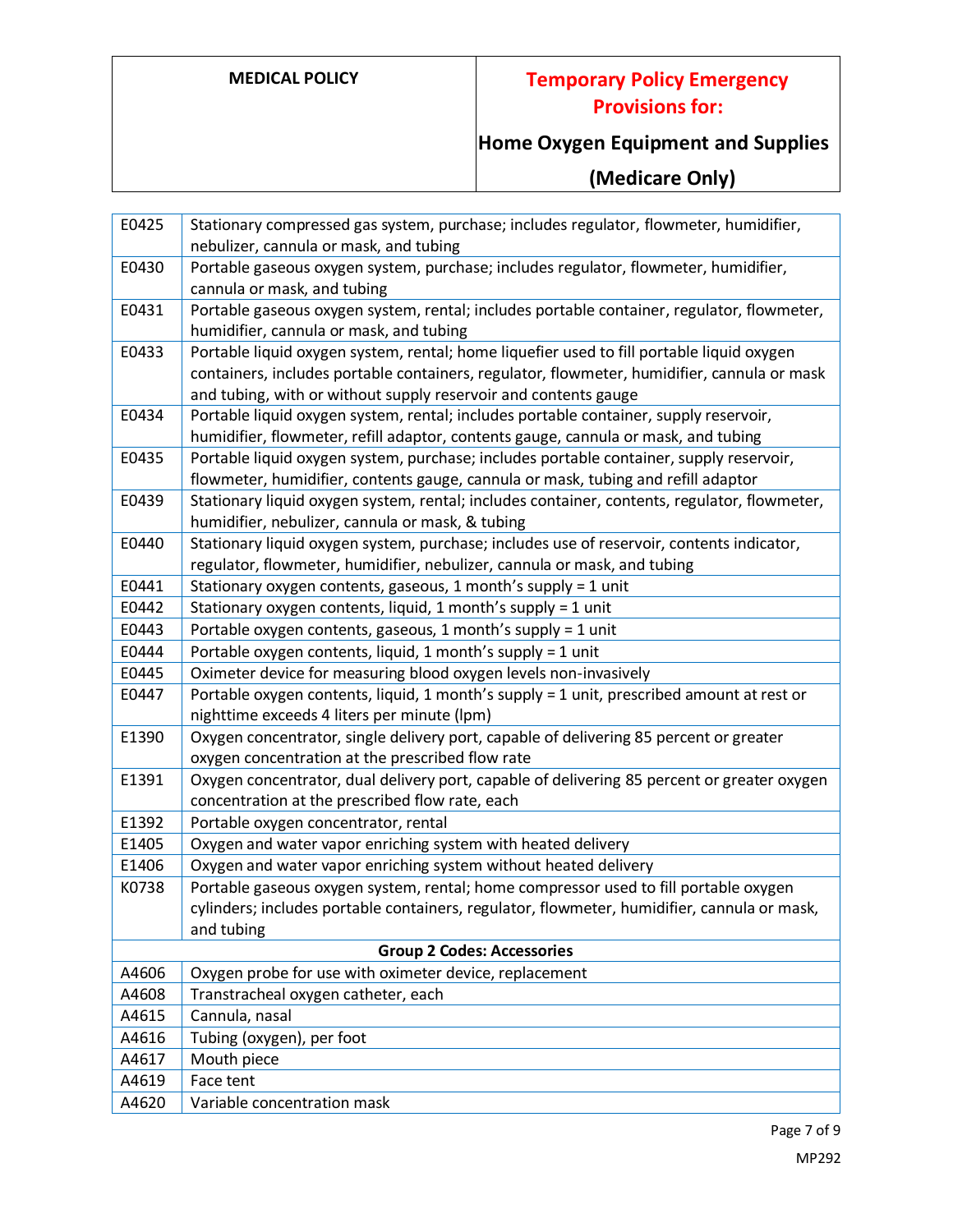# **Home Oxygen Equipment and Supplies**

# **(Medicare Only)**

| E0425 | Stationary compressed gas system, purchase; includes regulator, flowmeter, humidifier,       |
|-------|----------------------------------------------------------------------------------------------|
|       | nebulizer, cannula or mask, and tubing                                                       |
| E0430 | Portable gaseous oxygen system, purchase; includes regulator, flowmeter, humidifier,         |
|       | cannula or mask, and tubing                                                                  |
| E0431 | Portable gaseous oxygen system, rental; includes portable container, regulator, flowmeter,   |
|       | humidifier, cannula or mask, and tubing                                                      |
| E0433 | Portable liquid oxygen system, rental; home liquefier used to fill portable liquid oxygen    |
|       | containers, includes portable containers, regulator, flowmeter, humidifier, cannula or mask  |
|       | and tubing, with or without supply reservoir and contents gauge                              |
| E0434 | Portable liquid oxygen system, rental; includes portable container, supply reservoir,        |
|       | humidifier, flowmeter, refill adaptor, contents gauge, cannula or mask, and tubing           |
| E0435 | Portable liquid oxygen system, purchase; includes portable container, supply reservoir,      |
|       | flowmeter, humidifier, contents gauge, cannula or mask, tubing and refill adaptor            |
| E0439 | Stationary liquid oxygen system, rental; includes container, contents, regulator, flowmeter, |
|       | humidifier, nebulizer, cannula or mask, & tubing                                             |
| E0440 | Stationary liquid oxygen system, purchase; includes use of reservoir, contents indicator,    |
|       | regulator, flowmeter, humidifier, nebulizer, cannula or mask, and tubing                     |
| E0441 | Stationary oxygen contents, gaseous, 1 month's supply = 1 unit                               |
| E0442 | Stationary oxygen contents, liquid, 1 month's supply = 1 unit                                |
| E0443 | Portable oxygen contents, gaseous, 1 month's supply = 1 unit                                 |
| E0444 | Portable oxygen contents, liquid, 1 month's supply = 1 unit                                  |
| E0445 | Oximeter device for measuring blood oxygen levels non-invasively                             |
| E0447 | Portable oxygen contents, liquid, 1 month's supply = 1 unit, prescribed amount at rest or    |
|       | nighttime exceeds 4 liters per minute (lpm)                                                  |
| E1390 | Oxygen concentrator, single delivery port, capable of delivering 85 percent or greater       |
|       | oxygen concentration at the prescribed flow rate                                             |
| E1391 | Oxygen concentrator, dual delivery port, capable of delivering 85 percent or greater oxygen  |
|       | concentration at the prescribed flow rate, each                                              |
| E1392 | Portable oxygen concentrator, rental                                                         |
| E1405 | Oxygen and water vapor enriching system with heated delivery                                 |
| E1406 | Oxygen and water vapor enriching system without heated delivery                              |
| K0738 | Portable gaseous oxygen system, rental; home compressor used to fill portable oxygen         |
|       | cylinders; includes portable containers, regulator, flowmeter, humidifier, cannula or mask,  |
|       | and tubing                                                                                   |
|       | <b>Group 2 Codes: Accessories</b>                                                            |
| A4606 | Oxygen probe for use with oximeter device, replacement                                       |
| A4608 | Transtracheal oxygen catheter, each                                                          |
| A4615 | Cannula, nasal                                                                               |
| A4616 | Tubing (oxygen), per foot                                                                    |
| A4617 | Mouth piece                                                                                  |
| A4619 | Face tent                                                                                    |
| A4620 | Variable concentration mask                                                                  |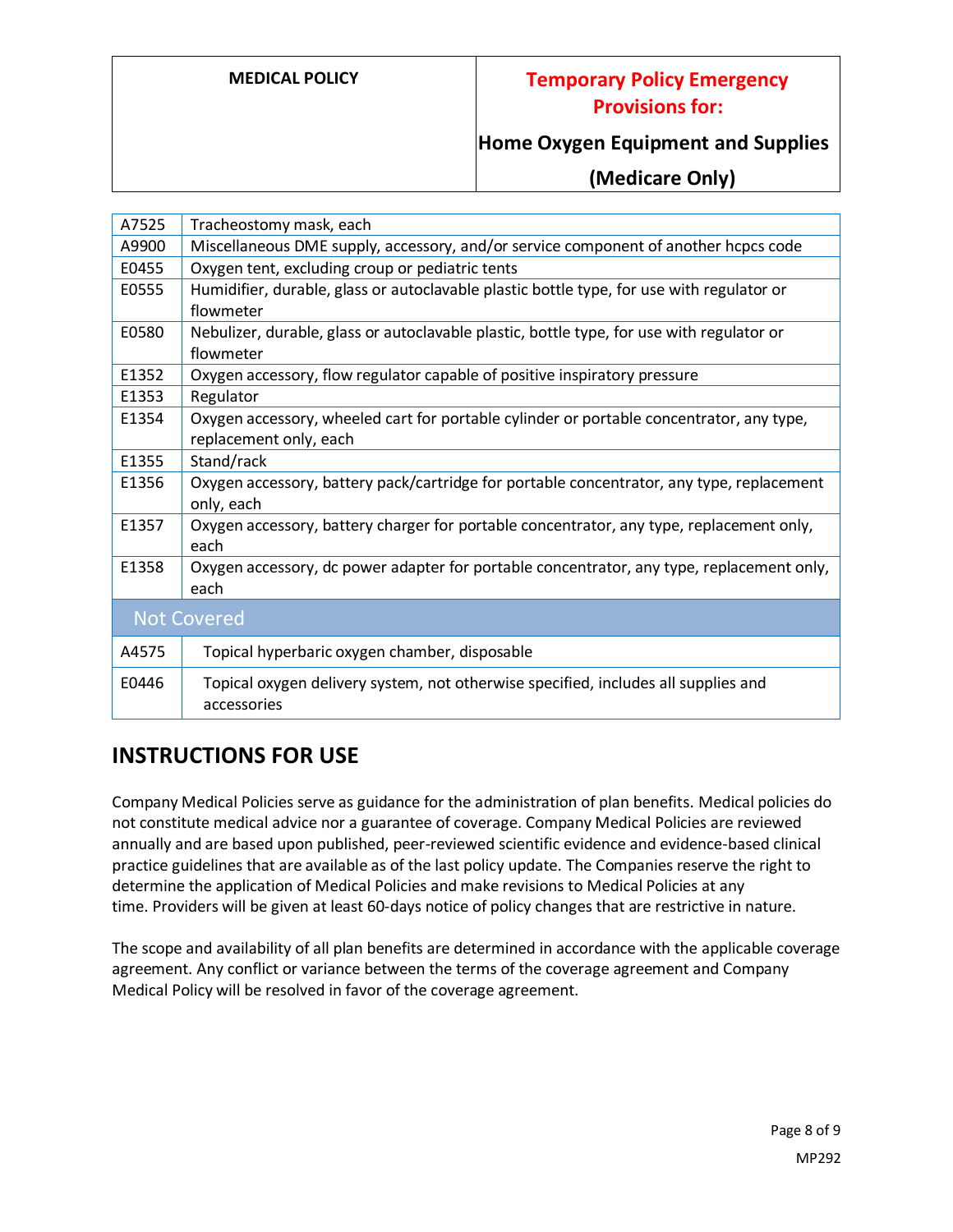## **Home Oxygen Equipment and Supplies**

**(Medicare Only)**

| A7525              | Tracheostomy mask, each                                                                   |
|--------------------|-------------------------------------------------------------------------------------------|
| A9900              | Miscellaneous DME supply, accessory, and/or service component of another hcpcs code       |
| E0455              | Oxygen tent, excluding croup or pediatric tents                                           |
| E0555              | Humidifier, durable, glass or autoclavable plastic bottle type, for use with regulator or |
|                    | flowmeter                                                                                 |
| E0580              | Nebulizer, durable, glass or autoclavable plastic, bottle type, for use with regulator or |
|                    | flowmeter                                                                                 |
| E1352              | Oxygen accessory, flow regulator capable of positive inspiratory pressure                 |
| E1353              | Regulator                                                                                 |
| E1354              | Oxygen accessory, wheeled cart for portable cylinder or portable concentrator, any type,  |
|                    | replacement only, each                                                                    |
| E1355              | Stand/rack                                                                                |
| E1356              | Oxygen accessory, battery pack/cartridge for portable concentrator, any type, replacement |
|                    | only, each                                                                                |
| E1357              | Oxygen accessory, battery charger for portable concentrator, any type, replacement only,  |
|                    | each                                                                                      |
| E1358              | Oxygen accessory, dc power adapter for portable concentrator, any type, replacement only, |
|                    | each                                                                                      |
| <b>Not Covered</b> |                                                                                           |
| A4575              | Topical hyperbaric oxygen chamber, disposable                                             |
| E0446              | Topical oxygen delivery system, not otherwise specified, includes all supplies and        |
|                    | accessories                                                                               |
|                    |                                                                                           |

## **INSTRUCTIONS FOR USE**

Company Medical Policies serve as guidance for the administration of plan benefits. Medical policies do not constitute medical advice nor a guarantee of coverage. Company Medical Policies are reviewed annually and are based upon published, peer-reviewed scientific evidence and evidence-based clinical practice guidelines that are available as of the last policy update. The Companies reserve the right to determine the application of Medical Policies and make revisions to Medical Policies at any time. Providers will be given at least 60-days notice of policy changes that are restrictive in nature.

The scope and availability of all plan benefits are determined in accordance with the applicable coverage agreement. Any conflict or variance between the terms of the coverage agreement and Company Medical Policy will be resolved in favor of the coverage agreement.